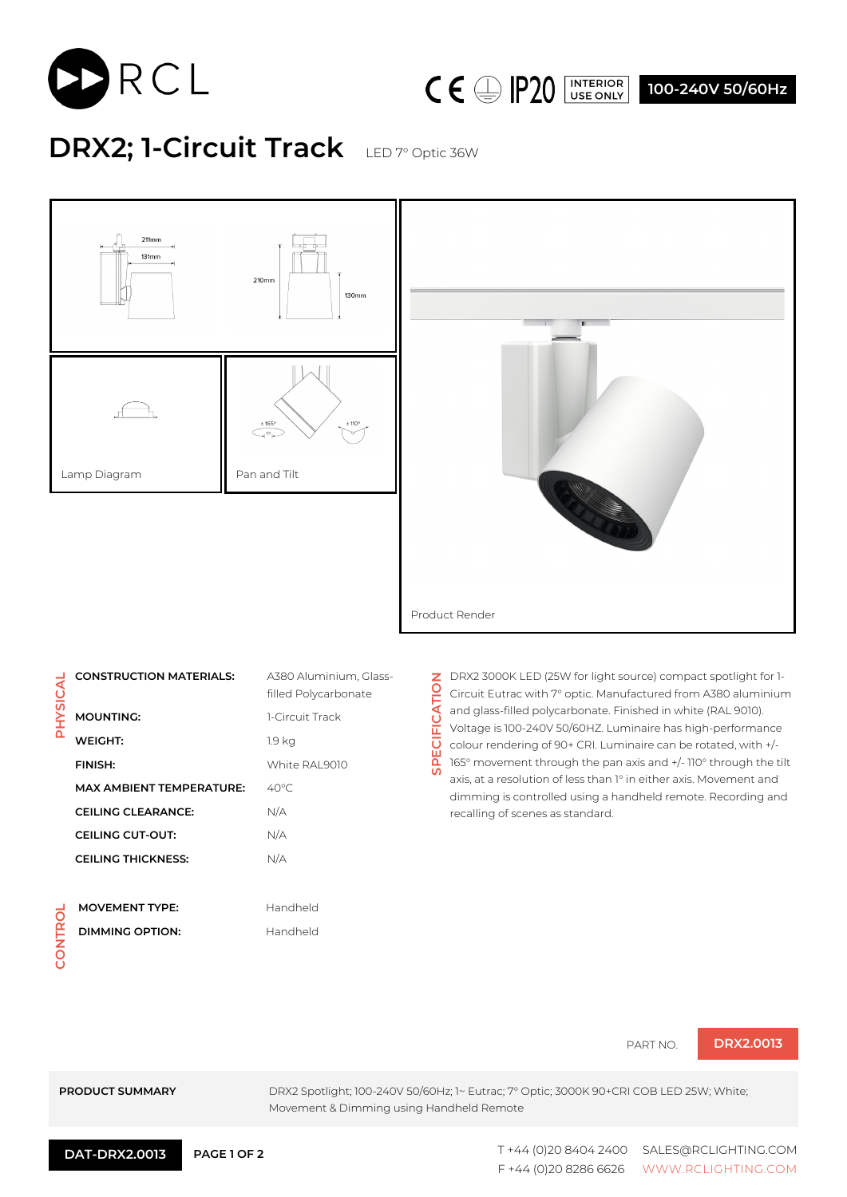



**100-240V 50/60Hz**

## **DRX2; 1-Circuit Track** LED 7° Optic 36W





|                | <b>CONSTRUCTION MATERIALS:</b>  | A380 Aluminium, Glass-<br>filled Polycarbonate |
|----------------|---------------------------------|------------------------------------------------|
| <b>PHYSICA</b> | <b>MOUNTING:</b>                | 1-Circuit Track                                |
|                | WEIGHT:                         | 1.9 kg                                         |
|                | <b>FINISH:</b>                  | White RAI 9010                                 |
|                | <b>MAX AMBIENT TEMPERATURE:</b> | $40^{\circ}$ C                                 |
|                | <b>CEILING CLEARANCE:</b>       | N/A                                            |
|                | <b>CEILING CUT-OUT:</b>         | N/A                                            |
|                | <b>CEILING THICKNESS:</b>       | N/A                                            |
|                |                                 |                                                |
|                | MAVEMENT TVDE.                  | الملصطلح صحابا                                 |

**CONTROL**

| <b>MOVEMENT TYPE:</b> | Handheld |
|-----------------------|----------|
| DIMMING OPTION:       | Handheld |
|                       |          |

**Z** DRX2 3000K LED (25W for light source) compact spotlight for 1-<br>Q Circuit Eutropatitk Fo **SPECIFICATION** Circuit Eutrac with 7° optic. Manufactured from A380 aluminium **SPECIFICATI** and glass-filled polycarbonate. Finished in white (RAL 9010). Voltage is 100-240V 50/60HZ. Luminaire has high-performance colour rendering of 90+ CRI. Luminaire can be rotated, with +/- 165° movement through the pan axis and +/- 110° through the tilt axis, at a resolution of less than 1° in either axis. Movement and dimming is controlled using a handheld remote. Recording and recalling of scenes as standard.

PART NO. **DRX2.0013**

**PRODUCT SUMMARY** DRX2 Spotlight; 100-240V 50/60Hz; 1~ Eutrac; 7° Optic; 3000K 90+CRI COB LED 25W; White; Movement & Dimming using Handheld Remote